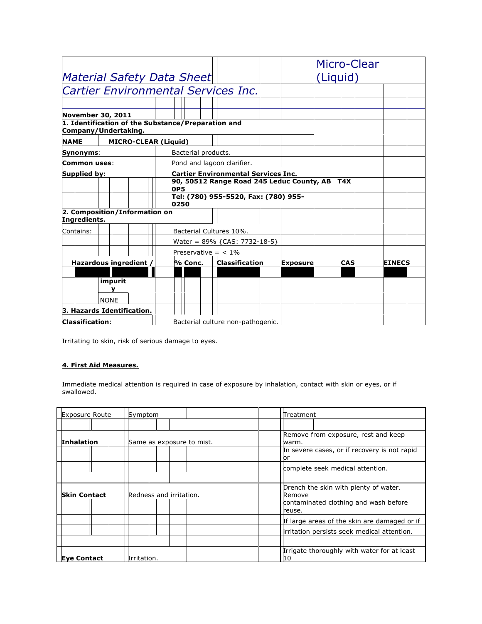|                                   |                                                                            |            |                         |  |                                            |  |                 |          | Micro-Clear |               |  |
|-----------------------------------|----------------------------------------------------------------------------|------------|-------------------------|--|--------------------------------------------|--|-----------------|----------|-------------|---------------|--|
| <b>Material Safety Data Sheet</b> |                                                                            |            |                         |  |                                            |  |                 | (Liquid) |             |               |  |
|                                   | <b>Cartier Environmental Services Inc.</b>                                 |            |                         |  |                                            |  |                 |          |             |               |  |
|                                   |                                                                            |            |                         |  |                                            |  |                 |          |             |               |  |
| <b>November 30, 2011</b>          |                                                                            |            |                         |  |                                            |  |                 |          |             |               |  |
|                                   | 1. Identification of the Substance/Preparation and<br>Company/Undertaking. |            |                         |  |                                            |  |                 |          |             |               |  |
| <b>NAME</b>                       | <b>MICRO-CLEAR (Liquid)</b>                                                |            |                         |  |                                            |  |                 |          |             |               |  |
| Synonyms:                         |                                                                            |            | Bacterial products.     |  |                                            |  |                 |          |             |               |  |
| Common uses:                      |                                                                            |            |                         |  | Pond and lagoon clarifier.                 |  |                 |          |             |               |  |
| Supplied by:                      |                                                                            |            |                         |  | <b>Cartier Environmental Services Inc.</b> |  |                 |          |             |               |  |
|                                   |                                                                            | <b>OP5</b> |                         |  | 90, 50512 Range Road 245 Leduc County, AB  |  |                 |          | T4X         |               |  |
|                                   |                                                                            | 0250       |                         |  | Tel: (780) 955-5520, Fax: (780) 955-       |  |                 |          |             |               |  |
| Ingredients.                      | 2. Composition/Information on                                              |            |                         |  |                                            |  |                 |          |             |               |  |
| Contains:                         |                                                                            |            | Bacterial Cultures 10%. |  |                                            |  |                 |          |             |               |  |
|                                   |                                                                            |            |                         |  | Water = $89\%$ {CAS: 7732-18-5}            |  |                 |          |             |               |  |
|                                   |                                                                            |            | Preservative = $< 1\%$  |  |                                            |  |                 |          |             |               |  |
|                                   | Hazardous ingredient /                                                     |            | % Conc.                 |  | <b>Classification</b>                      |  | <b>Exposure</b> |          | CAS         | <b>EINECS</b> |  |
|                                   |                                                                            |            |                         |  |                                            |  |                 |          |             |               |  |
|                                   | impurit<br><b>NONE</b>                                                     |            |                         |  |                                            |  |                 |          |             |               |  |
|                                   | 3. Hazards Identification.                                                 |            |                         |  |                                            |  |                 |          |             |               |  |
| <b>Classification:</b>            |                                                                            |            |                         |  | Bacterial culture non-pathogenic.          |  |                 |          |             |               |  |

Irritating to skin, risk of serious damage to eyes.

# **4. First Aid Measures.**

Immediate medical attention is required in case of exposure by inhalation, contact with skin or eyes, or if swallowed.

| <b>Exposure Route</b> | Symptom                   | Treatment                                                                                           |
|-----------------------|---------------------------|-----------------------------------------------------------------------------------------------------|
| <b>Inhalation</b>     | Same as exposure to mist. | Remove from exposure, rest and keep<br>warm.<br>In severe cases, or if recovery is not rapid<br>lor |
|                       |                           | complete seek medical attention.                                                                    |
| <b>Skin Contact</b>   | Redness and irritation.   | Drench the skin with plenty of water.<br>Remove<br>contaminated clothing and wash before<br>reuse.  |
|                       |                           | If large areas of the skin are damaged or if<br>irritation persists seek medical attention.         |
|                       |                           | Irrigate thoroughly with water for at least                                                         |
| <b>Eye Contact</b>    | Irritation.               | 10                                                                                                  |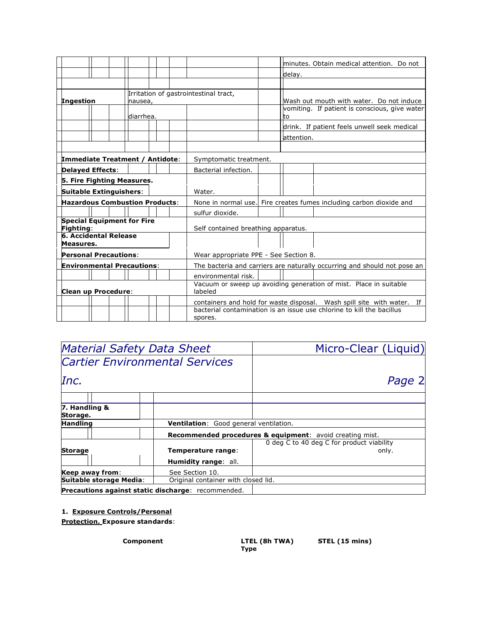|                                                |                                |         |                                                                                                                                                    |                                                                   |                                                                     |             | minutes. Obtain medical attention. Do not     |
|------------------------------------------------|--------------------------------|---------|----------------------------------------------------------------------------------------------------------------------------------------------------|-------------------------------------------------------------------|---------------------------------------------------------------------|-------------|-----------------------------------------------|
|                                                |                                |         |                                                                                                                                                    |                                                                   |                                                                     | delay.      |                                               |
|                                                |                                |         |                                                                                                                                                    |                                                                   |                                                                     |             |                                               |
| <b>Ingestion</b>                               | nausea,                        |         |                                                                                                                                                    | Irritation of gastrointestinal tract,                             |                                                                     |             | Wash out mouth with water. Do not induce      |
|                                                | diarrhea.                      |         |                                                                                                                                                    |                                                                   |                                                                     | tо          | vomiting. If patient is conscious, give water |
|                                                |                                |         |                                                                                                                                                    |                                                                   |                                                                     |             | drink. If patient feels unwell seek medical   |
|                                                |                                |         |                                                                                                                                                    |                                                                   |                                                                     | lattention. |                                               |
|                                                |                                |         |                                                                                                                                                    |                                                                   |                                                                     |             |                                               |
| <b>Immediate Treatment / Antidote:</b>         |                                |         |                                                                                                                                                    | Symptomatic treatment.                                            |                                                                     |             |                                               |
| <b>Delayed Effects:</b>                        |                                |         |                                                                                                                                                    | Bacterial infection.                                              |                                                                     |             |                                               |
| 5. Fire Fighting Measures.                     |                                |         |                                                                                                                                                    |                                                                   |                                                                     |             |                                               |
|                                                | <b>Suitable Extinguishers:</b> |         | Water.                                                                                                                                             |                                                                   |                                                                     |             |                                               |
| <b>Hazardous Combustion Products:</b>          |                                |         |                                                                                                                                                    |                                                                   | None in normal use. Fire creates fumes including carbon dioxide and |             |                                               |
|                                                |                                |         |                                                                                                                                                    | sulfur dioxide.                                                   |                                                                     |             |                                               |
| <b>Special Equipment for Fire</b><br>Fighting: |                                |         | Self contained breathing apparatus.                                                                                                                |                                                                   |                                                                     |             |                                               |
| <b>6. Accidental Release</b><br>Measures.      |                                |         |                                                                                                                                                    |                                                                   |                                                                     |             |                                               |
| <b>Personal Precautions:</b>                   |                                |         |                                                                                                                                                    | Wear appropriate PPE - See Section 8.                             |                                                                     |             |                                               |
| <b>Environmental Precautions:</b>              |                                |         | The bacteria and carriers are naturally occurring and should not pose an                                                                           |                                                                   |                                                                     |             |                                               |
|                                                |                                |         |                                                                                                                                                    | environmental risk.                                               |                                                                     |             |                                               |
| <b>Clean up Procedure:</b>                     |                                |         | labeled                                                                                                                                            | Vacuum or sweep up avoiding generation of mist. Place in suitable |                                                                     |             |                                               |
|                                                |                                |         | containers and hold for waste disposal. Wash spill site with water.<br>If<br>bacterial contamination is an issue use chlorine to kill the bacillus |                                                                   |                                                                     |             |                                               |
|                                                |                                | spores. |                                                                                                                                                    |                                                                   |                                                                     |             |                                               |

| <b>Material Safety Data Sheet</b>                  |                                        | Micro-Clear (Liquid)                                     |  |  |
|----------------------------------------------------|----------------------------------------|----------------------------------------------------------|--|--|
| <b>Cartier Environmental Services</b>              |                                        |                                                          |  |  |
| Inc.                                               |                                        | Page 2                                                   |  |  |
|                                                    |                                        |                                                          |  |  |
| 7. Handling &<br>Storage.                          |                                        |                                                          |  |  |
| <b>Handling</b>                                    | Ventilation: Good general ventilation. |                                                          |  |  |
|                                                    |                                        | Recommended procedures & equipment: avoid creating mist. |  |  |
|                                                    |                                        | 0 deg C to 40 deg C for product viability                |  |  |
| <b>Storage</b>                                     | Temperature range:                     | only.                                                    |  |  |
|                                                    | <b>Humidity range: all.</b>            |                                                          |  |  |
| Keep away from:                                    | See Section 10.                        |                                                          |  |  |
| Suitable storage Media:                            | Original container with closed lid.    |                                                          |  |  |
| Precautions against static discharge: recommended. |                                        |                                                          |  |  |

# **1. Exposure Controls/Personal**

**Protection. Exposure standards**:

**Type**

**Component LTEL (8h TWA) STEL (15 mins)**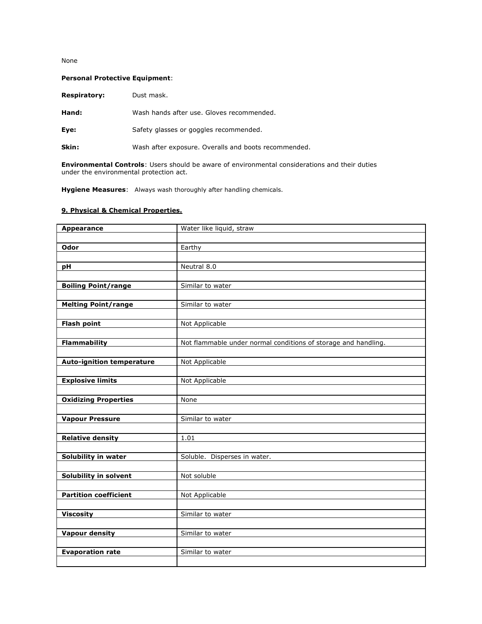## None

## **Personal Protective Equipment**:

| <b>Respiratory:</b> | Dust mask.                                |
|---------------------|-------------------------------------------|
| Hand:               | Wash hands after use. Gloves recommended. |
| Eye:                | Safety glasses or goggles recommended.    |

**Skin:** Wash after exposure. Overalls and boots recommended.

**Environmental Controls**: Users should be aware of environmental considerations and their duties under the environmental protection act.

**Hygiene Measures**: Always wash thoroughly after handling chemicals.

## **9. Physical & Chemical Properties.**

| <b>Appearance</b>                | Water like liquid, straw                                       |
|----------------------------------|----------------------------------------------------------------|
|                                  |                                                                |
| <b>Odor</b>                      | Earthy                                                         |
|                                  |                                                                |
| рH                               | Neutral 8.0                                                    |
|                                  |                                                                |
| <b>Boiling Point/range</b>       | Similar to water                                               |
|                                  |                                                                |
| <b>Melting Point/range</b>       | Similar to water                                               |
|                                  |                                                                |
| <b>Flash point</b>               | Not Applicable                                                 |
|                                  |                                                                |
| <b>Flammability</b>              | Not flammable under normal conditions of storage and handling. |
|                                  |                                                                |
| <b>Auto-ignition temperature</b> | Not Applicable                                                 |
|                                  |                                                                |
| <b>Explosive limits</b>          | Not Applicable                                                 |
|                                  |                                                                |
| <b>Oxidizing Properties</b>      | None                                                           |
|                                  |                                                                |
| <b>Vapour Pressure</b>           | Similar to water                                               |
|                                  |                                                                |
| <b>Relative density</b>          | 1.01                                                           |
|                                  |                                                                |
| Solubility in water              | Soluble. Disperses in water.                                   |
|                                  |                                                                |
| Solubility in solvent            | Not soluble                                                    |
|                                  |                                                                |
| <b>Partition coefficient</b>     | Not Applicable                                                 |
|                                  |                                                                |
| <b>Viscosity</b>                 | Similar to water                                               |
|                                  |                                                                |
| <b>Vapour density</b>            | Similar to water                                               |
|                                  |                                                                |
| <b>Evaporation rate</b>          | Similar to water                                               |
|                                  |                                                                |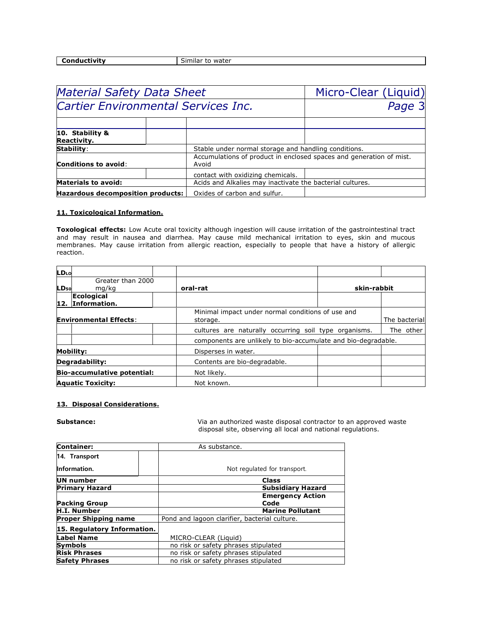| Conductivity |
|--------------|
|              |
|              |

**Similar to water** 

| <b>Material Safety Data Sheet</b>          | Micro-Clear (Liquid)                                      |                                                                     |  |  |
|--------------------------------------------|-----------------------------------------------------------|---------------------------------------------------------------------|--|--|
| <b>Cartier Environmental Services Inc.</b> |                                                           | Page 3                                                              |  |  |
|                                            |                                                           |                                                                     |  |  |
| 10. Stability &<br>Reactivity.             |                                                           |                                                                     |  |  |
| Stability:                                 |                                                           | Stable under normal storage and handling conditions.                |  |  |
| <b>Conditions to avoid:</b>                | Avoid                                                     | Accumulations of product in enclosed spaces and generation of mist. |  |  |
|                                            | contact with oxidizing chemicals.                         |                                                                     |  |  |
| <b>Materials to avoid:</b>                 | Acids and Alkalies may inactivate the bacterial cultures. |                                                                     |  |  |
| Hazardous decomposition products:          | Oxides of carbon and sulfur.                              |                                                                     |  |  |

## **11. Toxicological Information.**

**Toxological effects:** Low Acute oral toxicity although ingestion will cause irritation of the gastrointestinal tract and may result in nausea and diarrhea. May cause mild mechanical irritation to eyes, skin and mucous membranes. May cause irritation from allergic reaction, especially to people that have a history of allergic reaction.

| LDLo                               |                               |                                                               |             |               |
|------------------------------------|-------------------------------|---------------------------------------------------------------|-------------|---------------|
| LD <sub>50</sub>                   | Greater than 2000<br>mg/kg    | oral-rat                                                      | skin-rabbit |               |
| 12.                                | Ecological<br>Information.    |                                                               |             |               |
|                                    | <b>Environmental Effects:</b> | Minimal impact under normal conditions of use and<br>storage. |             | The bacterial |
|                                    |                               | cultures are naturally occurring soil type organisms.         |             | The other     |
|                                    |                               | components are unlikely to bio-accumulate and bio-degradable. |             |               |
|                                    | Mobility:                     | Disperses in water.                                           |             |               |
|                                    | Degradability:                | Contents are bio-degradable.                                  |             |               |
| <b>Bio-accumulative potential:</b> |                               | Not likely.                                                   |             |               |
|                                    | <b>Aquatic Toxicity:</b>      | Not known.                                                    |             |               |

### **13. Disposal Considerations.**

**Substance:** Via an authorized waste disposal contractor to an approved waste disposal site, observing all local and national regulations.

| <b>Container:</b>           | As substance.                                 |
|-----------------------------|-----------------------------------------------|
| 14. Transport               |                                               |
| Information.                | Not regulated for transport.                  |
| UN number                   | <b>Class</b>                                  |
| <b>Primary Hazard</b>       | <b>Subsidiary Hazard</b>                      |
|                             | <b>Emergency Action</b>                       |
| <b>Packing Group</b>        | Code                                          |
| H.I. Number                 | <b>Marine Pollutant</b>                       |
| <b>Proper Shipping name</b> | Pond and lagoon clarifier, bacterial culture. |
| 15. Regulatory Information. |                                               |
| <b>Label Name</b>           | MICRO-CLEAR (Liquid)                          |
| <b>Symbols</b>              | no risk or safety phrases stipulated          |
| <b>Risk Phrases</b>         | no risk or safety phrases stipulated          |
| <b>Safety Phrases</b>       | no risk or safety phrases stipulated          |